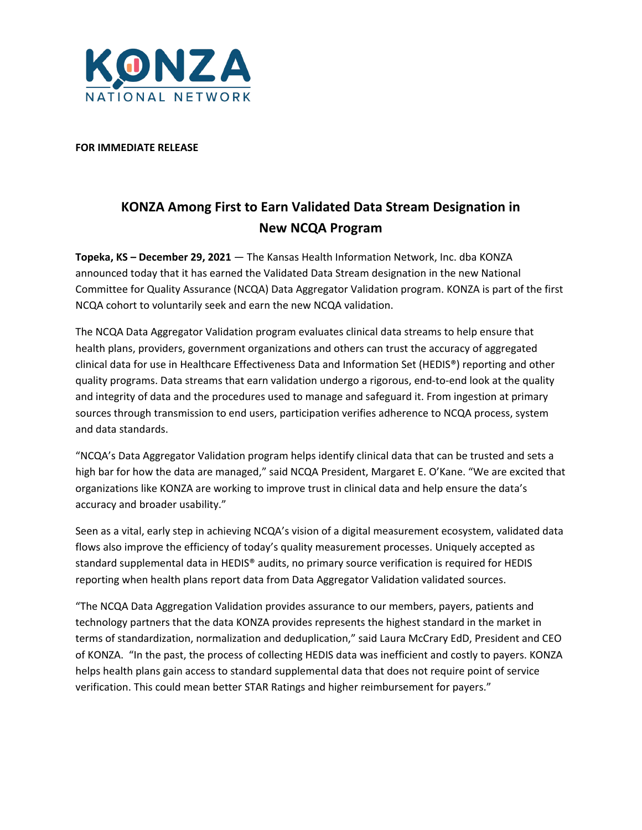

## **FOR IMMEDIATE RELEASE**

## **KONZA Among First to Earn Validated Data Stream Designation in New NCQA Program**

**Topeka, KS – December 29, 2021** — The Kansas Health Information Network, Inc. dba KONZA announced today that it has earned the Validated Data Stream designation in the new National Committee for Quality Assurance (NCQA) Data Aggregator Validation program. KONZA is part of the first NCQA cohort to voluntarily seek and earn the new NCQA validation.

The NCQA Data Aggregator Validation program evaluates clinical data streams to help ensure that health plans, providers, government organizations and others can trust the accuracy of aggregated clinical data for use in Healthcare Effectiveness Data and Information Set (HEDIS®) reporting and other quality programs. Data streams that earn validation undergo a rigorous, end-to-end look at the quality and integrity of data and the procedures used to manage and safeguard it. From ingestion at primary sources through transmission to end users, participation verifies adherence to NCQA process, system and data standards.

"NCQA's Data Aggregator Validation program helps identify clinical data that can be trusted and sets a high bar for how the data are managed," said NCQA President, Margaret E. O'Kane. "We are excited that organizations like KONZA are working to improve trust in clinical data and help ensure the data's accuracy and broader usability."

Seen as a vital, early step in achieving NCQA's vision of a digital measurement ecosystem, validated data flows also improve the efficiency of today's quality measurement processes. Uniquely accepted as standard supplemental data in HEDIS® audits, no primary source verification is required for HEDIS reporting when health plans report data from Data Aggregator Validation validated sources.

"The NCQA Data Aggregation Validation provides assurance to our members, payers, patients and technology partners that the data KONZA provides represents the highest standard in the market in terms of standardization, normalization and deduplication," said Laura McCrary EdD, President and CEO of KONZA. "In the past, the process of collecting HEDIS data was inefficient and costly to payers. KONZA helps health plans gain access to standard supplemental data that does not require point of service verification. This could mean better STAR Ratings and higher reimbursement for payers."